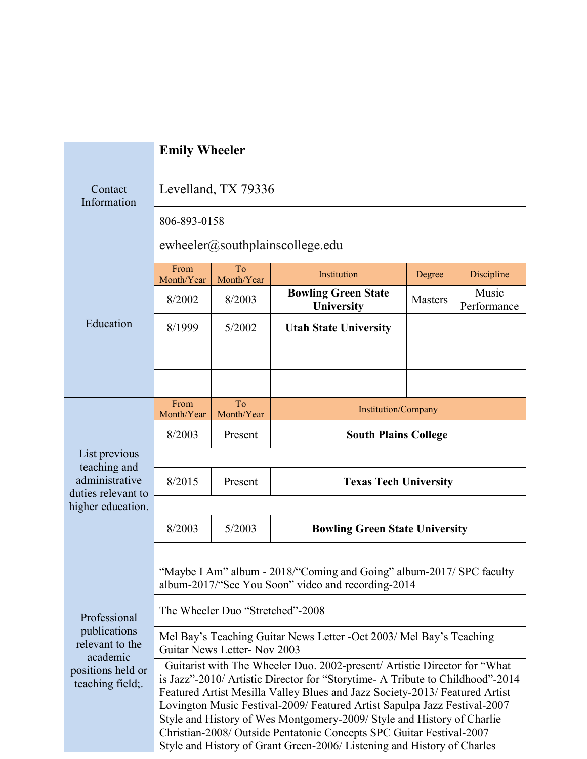|                                                                                                      | <b>Emily Wheeler</b>                                                                                                                                                                                                                                                                                                   |                  |                                          |                |                      |  |
|------------------------------------------------------------------------------------------------------|------------------------------------------------------------------------------------------------------------------------------------------------------------------------------------------------------------------------------------------------------------------------------------------------------------------------|------------------|------------------------------------------|----------------|----------------------|--|
| Contact<br>Information                                                                               | Levelland, TX 79336                                                                                                                                                                                                                                                                                                    |                  |                                          |                |                      |  |
|                                                                                                      | 806-893-0158                                                                                                                                                                                                                                                                                                           |                  |                                          |                |                      |  |
|                                                                                                      | ewheeler@southplainscollege.edu                                                                                                                                                                                                                                                                                        |                  |                                          |                |                      |  |
| Education                                                                                            | From<br>Month/Year                                                                                                                                                                                                                                                                                                     | To<br>Month/Year | Institution                              | Degree         | Discipline           |  |
|                                                                                                      | 8/2002                                                                                                                                                                                                                                                                                                                 | 8/2003           | <b>Bowling Green State</b><br>University | <b>Masters</b> | Music<br>Performance |  |
|                                                                                                      | 8/1999                                                                                                                                                                                                                                                                                                                 | 5/2002           | <b>Utah State University</b>             |                |                      |  |
|                                                                                                      |                                                                                                                                                                                                                                                                                                                        |                  |                                          |                |                      |  |
|                                                                                                      |                                                                                                                                                                                                                                                                                                                        |                  |                                          |                |                      |  |
| List previous<br>teaching and<br>administrative<br>duties relevant to<br>higher education.           | From<br>Month/Year                                                                                                                                                                                                                                                                                                     | To<br>Month/Year | Institution/Company                      |                |                      |  |
|                                                                                                      | 8/2003                                                                                                                                                                                                                                                                                                                 | Present          | <b>South Plains College</b>              |                |                      |  |
|                                                                                                      |                                                                                                                                                                                                                                                                                                                        |                  |                                          |                |                      |  |
|                                                                                                      | 8/2015                                                                                                                                                                                                                                                                                                                 | Present          | <b>Texas Tech University</b>             |                |                      |  |
|                                                                                                      |                                                                                                                                                                                                                                                                                                                        |                  |                                          |                |                      |  |
|                                                                                                      | 8/2003                                                                                                                                                                                                                                                                                                                 | 5/2003           | <b>Bowling Green State University</b>    |                |                      |  |
|                                                                                                      |                                                                                                                                                                                                                                                                                                                        |                  |                                          |                |                      |  |
| Professional<br>publications<br>relevant to the<br>academic<br>positions held or<br>teaching field;. | "Maybe I Am" album - 2018/"Coming and Going" album-2017/ SPC faculty<br>album-2017/"See You Soon" video and recording-2014                                                                                                                                                                                             |                  |                                          |                |                      |  |
|                                                                                                      | The Wheeler Duo "Stretched"-2008                                                                                                                                                                                                                                                                                       |                  |                                          |                |                      |  |
|                                                                                                      | Mel Bay's Teaching Guitar News Letter -Oct 2003/ Mel Bay's Teaching<br>Guitar News Letter- Nov 2003                                                                                                                                                                                                                    |                  |                                          |                |                      |  |
|                                                                                                      | Guitarist with The Wheeler Duo. 2002-present/ Artistic Director for "What<br>is Jazz"-2010/ Artistic Director for "Storytime- A Tribute to Childhood"-2014<br>Featured Artist Mesilla Valley Blues and Jazz Society-2013/ Featured Artist<br>Lovington Music Festival-2009/ Featured Artist Sapulpa Jazz Festival-2007 |                  |                                          |                |                      |  |
|                                                                                                      | Style and History of Wes Montgomery-2009/ Style and History of Charlie<br>Christian-2008/ Outside Pentatonic Concepts SPC Guitar Festival-2007<br>Style and History of Grant Green-2006/ Listening and History of Charles                                                                                              |                  |                                          |                |                      |  |